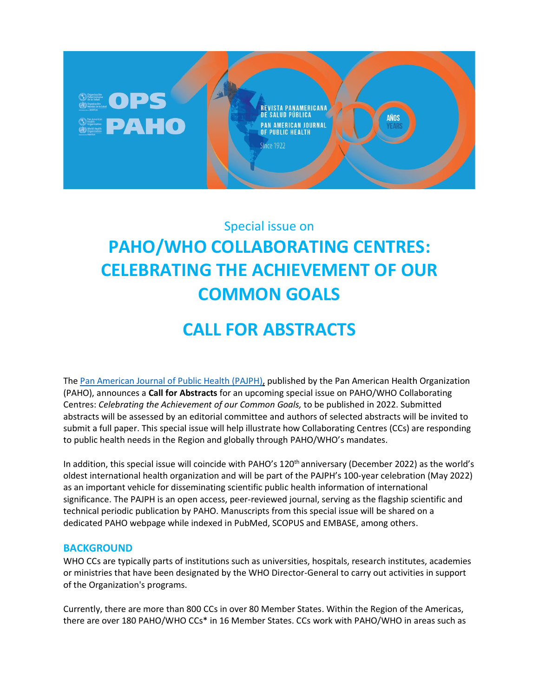

# Special issue on **PAHO/WHO COLLABORATING CENTRES: CELEBRATING THE ACHIEVEMENT OF OUR COMMON GOALS**

# **CALL FOR ABSTRACTS**

The [Pan American Journal of Public Health](https://www.paho.org/journal) (PAJPH), published by th[e Pan American Health Organization](https://www.paho.org/hq/index.php?lang=en)  [\(PAHO\),](https://www.paho.org/hq/index.php?lang=en) announces a **Call for Abstracts** for an upcoming special issue on PAHO/WHO Collaborating Centres: *Celebrating the Achievement of our Common Goals,* to be published in 2022. Submitted abstracts will be assessed by an editorial committee and authors of selected abstracts will be invited to submit a full paper. This special issue will help illustrate how Collaborating Centres (CCs) are responding to public health needs in the Region and globally through PAHO/WHO's mandates.

In addition, this special issue will coincide with PAHO's 120<sup>th</sup> anniversary (December 2022) as the world's oldest international health organization and will be part of the PAJPH's 100-year celebration (May 2022) as an important vehicle for disseminating scientific public health information of international significance. The PAJPH is an open access, peer-reviewed journal, serving as the flagship scientific and technical periodic publication by PAHO. Manuscripts from this special issue will be shared on a dedicated PAHO webpage while indexed in PubMed, SCOPUS and EMBASE, among others.

# **BACKGROUND**

WHO CCs are typically parts of institutions such as universities, hospitals, research institutes, academies or ministries that have been designated by the WHO Director-General to carry out activities in support of the Organization's programs.

Currently, there are more than 800 CCs in over 80 Member States. Within the Region of the Americas, there are over 180 PAHO/WHO CCs\* in 16 Member States. CCs work with PAHO/WHO in areas such as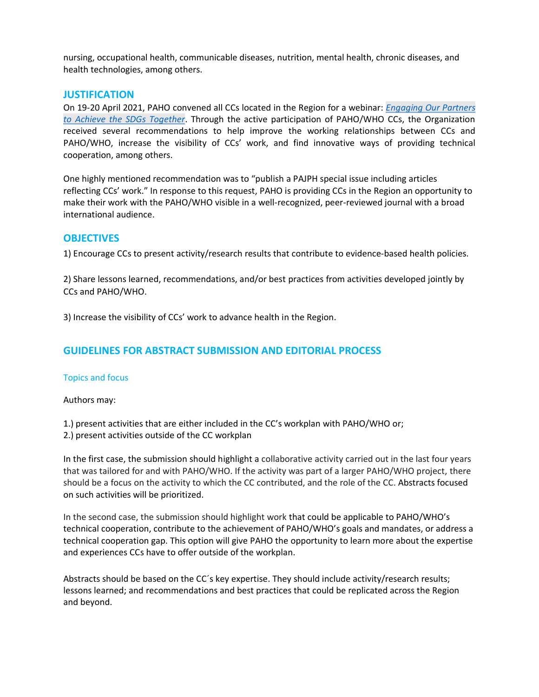nursing, occupational health, communicable diseases, nutrition, mental health, chronic diseases, and health technologies, among others.

## **JUSTIFICATION**

On 19-20 April 2021, PAHO convened all CCs located in the Region for a webinar: *[Engaging Our Partners](https://www.paho.org/en/pahowho-collaborating-centres/pahowho-collaborating-centres-regional-webinar)  [to Achieve the SDGs Together](https://www.paho.org/en/pahowho-collaborating-centres/pahowho-collaborating-centres-regional-webinar)*. Through the active participation of PAHO/WHO CCs, the Organization received several recommendations to help improve the working relationships between CCs and PAHO/WHO, increase the visibility of CCs' work, and find innovative ways of providing technical cooperation, among others.

One highly mentioned recommendation was to "publish a PAJPH special issue including articles reflecting CCs' work." In response to this request, PAHO is providing CCs in the Region an opportunity to make their work with the PAHO/WHO visible in a well-recognized, peer-reviewed journal with a broad international audience.

## **OBJECTIVES**

1) Encourage CCs to present activity/research results that contribute to evidence-based health policies.

2) Share lessons learned, recommendations, and/or best practices from activities developed jointly by CCs and PAHO/WHO.

3) Increase the visibility of CCs' work to advance health in the Region.

# **GUIDELINES FOR ABSTRACT SUBMISSION AND EDITORIAL PROCESS**

#### Topics and focus

Authors may:

1.) present activities that are either included in the CC's workplan with PAHO/WHO or;

2.) present activities outside of the CC workplan

In the first case, the submission should highlight a collaborative activity carried out in the last four years that was tailored for and with PAHO/WHO. If the activity was part of a larger PAHO/WHO project, there should be a focus on the activity to which the CC contributed, and the role of the CC. Abstracts focused on such activities will be prioritized.

In the second case, the submission should highlight work that could be applicable to PAHO/WHO's technical cooperation, contribute to the achievement of PAHO/WHO's goals and mandates, or address a technical cooperation gap. This option will give PAHO the opportunity to learn more about the expertise and experiences CCs have to offer outside of the workplan.

Abstracts should be based on the CC´s key expertise. They should include activity/research results; lessons learned; and recommendations and best practices that could be replicated across the Region and beyond.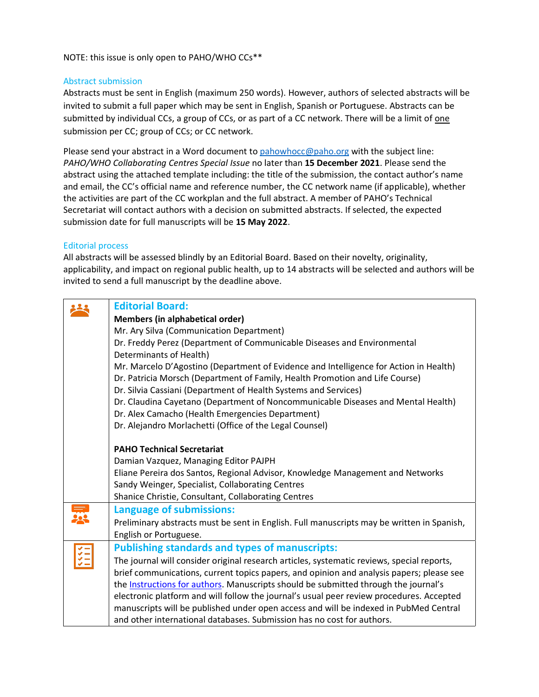NOTE: this issue is only open to PAHO/WHO CCs\*\*

## Abstract submission

Abstracts must be sent in English (maximum 250 words). However, authors of selected abstracts will be invited to submit a full paper which may be sent in English, Spanish or Portuguese. Abstracts can be submitted by individual CCs, a group of CCs, or as part of a CC network. There will be a limit of one submission per CC; group of CCs; or CC network.

Please send your abstract in a Word document to [pahowhocc@paho.org](mailto:xxxxx@paho.org) with the subject line: *PAHO/WHO Collaborating Centres Special Issue* no later than **15 December 2021**. Please send the abstract using the attached template including: the title of the submission, the contact author's name and email, the CC's official name and reference number, the CC network name (if applicable), whether the activities are part of the CC workplan and the full abstract. A member of PAHO's Technical Secretariat will contact authors with a decision on submitted abstracts. If selected, the expected submission date for full manuscripts will be **15 May 2022**.

#### Editorial process

All abstracts will be assessed blindly by an Editorial Board. Based on their novelty, originality, applicability, and impact on regional public health, up to 14 abstracts will be selected and authors will be invited to send a full manuscript by the deadline above.

| <b>Editorial Board:</b>                                                                     |
|---------------------------------------------------------------------------------------------|
| Members (in alphabetical order)                                                             |
| Mr. Ary Silva (Communication Department)                                                    |
| Dr. Freddy Perez (Department of Communicable Diseases and Environmental                     |
| Determinants of Health)                                                                     |
| Mr. Marcelo D'Agostino (Department of Evidence and Intelligence for Action in Health)       |
| Dr. Patricia Morsch (Department of Family, Health Promotion and Life Course)                |
| Dr. Silvia Cassiani (Department of Health Systems and Services)                             |
| Dr. Claudina Cayetano (Department of Noncommunicable Diseases and Mental Health)            |
| Dr. Alex Camacho (Health Emergencies Department)                                            |
| Dr. Alejandro Morlachetti (Office of the Legal Counsel)                                     |
|                                                                                             |
| <b>PAHO Technical Secretariat</b>                                                           |
| Damian Vazquez, Managing Editor PAJPH                                                       |
| Eliane Pereira dos Santos, Regional Advisor, Knowledge Management and Networks              |
| Sandy Weinger, Specialist, Collaborating Centres                                            |
| Shanice Christie, Consultant, Collaborating Centres                                         |
| Language of submissions:                                                                    |
| Preliminary abstracts must be sent in English. Full manuscripts may be written in Spanish,  |
| English or Portuguese.                                                                      |
| <b>Publishing standards and types of manuscripts:</b>                                       |
| The journal will consider original research articles, systematic reviews, special reports,  |
| brief communications, current topics papers, and opinion and analysis papers; please see    |
| the <b>Instructions for authors</b> . Manuscripts should be submitted through the journal's |
| electronic platform and will follow the journal's usual peer review procedures. Accepted    |
| manuscripts will be published under open access and will be indexed in PubMed Central       |
| and other international databases. Submission has no cost for authors.                      |